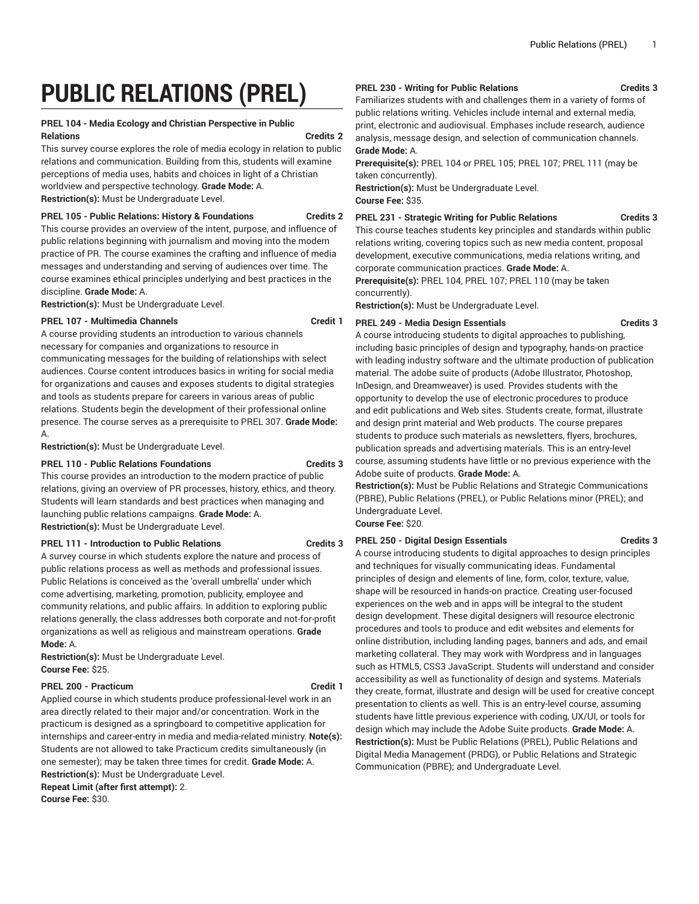# **PUBLIC RELATIONS (PREL)**

# **PREL 104 - Media Ecology and Christian Perspective in Public Relations Credits 2**

This survey course explores the role of media ecology in relation to public relations and communication. Building from this, students will examine perceptions of media uses, habits and choices in light of a Christian worldview and perspective technology. **Grade Mode:** A. **Restriction(s):** Must be Undergraduate Level.

# **PREL 105 - Public Relations: History & Foundations Credits 2**

This course provides an overview of the intent, purpose, and influence of public relations beginning with journalism and moving into the modern practice of PR. The course examines the crafting and influence of media messages and understanding and serving of audiences over time. The course examines ethical principles underlying and best practices in the discipline. **Grade Mode:** A.

**Restriction(s):** Must be Undergraduate Level.

# **PREL 107 - Multimedia Channels Credit 1**

A course providing students an introduction to various channels necessary for companies and organizations to resource in communicating messages for the building of relationships with select audiences. Course content introduces basics in writing for social media for organizations and causes and exposes students to digital strategies and tools as students prepare for careers in various areas of public relations. Students begin the development of their professional online presence. The course serves as a prerequisite to PREL 307. **Grade Mode:** A.

**Restriction(s):** Must be Undergraduate Level.

# **PREL 110 - Public Relations Foundations Credits 3**

This course provides an introduction to the modern practice of public relations, giving an overview of PR processes, history, ethics, and theory. Students will learn standards and best practices when managing and launching public relations campaigns. **Grade Mode:** A. **Restriction(s):** Must be Undergraduate Level.

# **PREL 111 - Introduction to Public Relations Credits 3**

A survey course in which students explore the nature and process of public relations process as well as methods and professional issues. Public Relations is conceived as the 'overall umbrella' under which come advertising, marketing, promotion, publicity, employee and community relations, and public affairs. In addition to exploring public relations generally, the class addresses both corporate and not-for-profit organizations as well as religious and mainstream operations. **Grade Mode:** A.

**Restriction(s):** Must be Undergraduate Level. **Course Fee:** \$25.

# PREL 200 - Practicum **Credit 1**

Applied course in which students produce professional-level work in an area directly related to their major and/or concentration. Work in the practicum is designed as a springboard to competitive application for internships and career-entry in media and media-related ministry. **Note(s):** Students are not allowed to take Practicum credits simultaneously (in one semester); may be taken three times for credit. **Grade Mode:** A. **Restriction(s):** Must be Undergraduate Level. **Repeat Limit (after first attempt):** 2.

**Course Fee:** \$30.

# **PREL 230 - Writing for Public Relations Credits 3**

Familiarizes students with and challenges them in a variety of forms of public relations writing. Vehicles include internal and external media, print, electronic and audiovisual. Emphases include research, audience analysis, message design, and selection of communication channels. **Grade Mode:** A.

**Prerequisite(s):** PREL 104 or PREL 105; PREL 107; PREL 111 (may be taken concurrently).

**Restriction(s):** Must be Undergraduate Level. **Course Fee:** \$35.

**PREL 231 - Strategic Writing for Public Relations Credits 3**

This course teaches students key principles and standards within public relations writing, covering topics such as new media content, proposal development, executive communications, media relations writing, and corporate communication practices. **Grade Mode:** A.

**Prerequisite(s):** PREL 104, PREL 107; PREL 110 (may be taken concurrently).

**Restriction(s):** Must be Undergraduate Level.

# **PREL 249 - Media Design Essentials Credits 3**

A course introducing students to digital approaches to publishing, including basic principles of design and typography, hands-on practice with leading industry software and the ultimate production of publication material. The adobe suite of products (Adobe Illustrator, Photoshop, InDesign, and Dreamweaver) is used. Provides students with the opportunity to develop the use of electronic procedures to produce and edit publications and Web sites. Students create, format, illustrate and design print material and Web products. The course prepares students to produce such materials as newsletters, flyers, brochures, publication spreads and advertising materials. This is an entry-level course, assuming students have little or no previous experience with the Adobe suite of products. **Grade Mode:** A.

**Restriction(s):** Must be Public Relations and Strategic Communications (PBRE), Public Relations (PREL), or Public Relations minor (PREL); and Undergraduate Level. **Course Fee:** \$20.

**PREL 250 - Digital Design Essentials Credits 3**

A course introducing students to digital approaches to design principles and techniques for visually communicating ideas. Fundamental principles of design and elements of line, form, color, texture, value, shape will be resourced in hands-on practice. Creating user-focused experiences on the web and in apps will be integral to the student design development. These digital designers will resource electronic procedures and tools to produce and edit websites and elements for online distribution, including landing pages, banners and ads, and email marketing collateral. They may work with Wordpress and in languages such as HTML5, CSS3 JavaScript. Students will understand and consider accessibility as well as functionality of design and systems. Materials they create, format, illustrate and design will be used for creative concept presentation to clients as well. This is an entry-level course, assuming students have little previous experience with coding, UX/UI, or tools for design which may include the Adobe Suite products. **Grade Mode:** A. **Restriction(s):** Must be Public Relations (PREL), Public Relations and Digital Media Management (PRDG), or Public Relations and Strategic Communication (PBRE); and Undergraduate Level.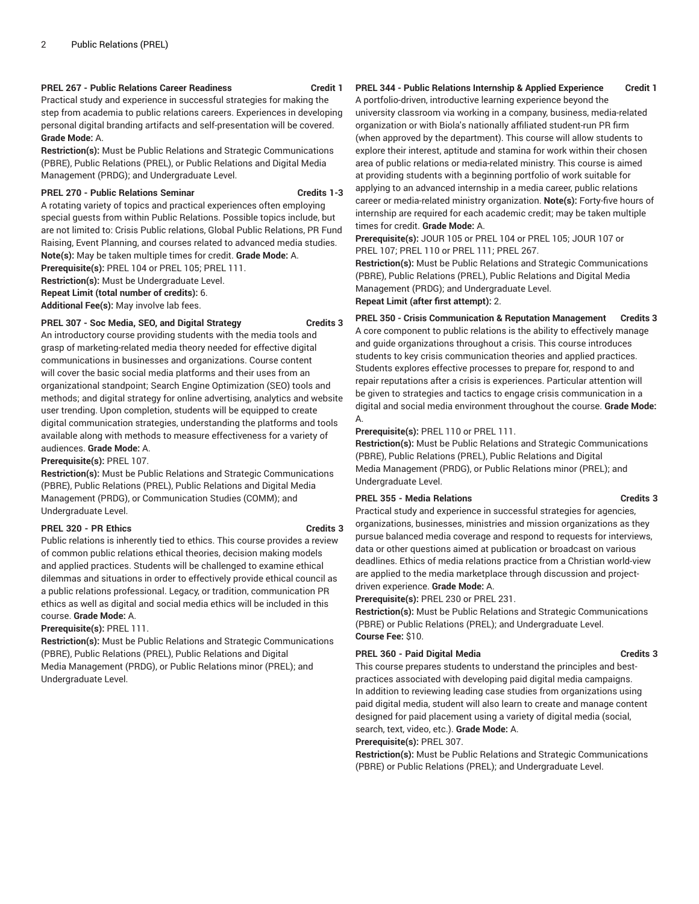# **PREL 267 - Public Relations Career Readiness Credit 1**

Practical study and experience in successful strategies for making the step from academia to public relations careers. Experiences in developing personal digital branding artifacts and self-presentation will be covered. **Grade Mode:** A.

**Restriction(s):** Must be Public Relations and Strategic Communications (PBRE), Public Relations (PREL), or Public Relations and Digital Media Management (PRDG); and Undergraduate Level.

#### **PREL 270 - Public Relations Seminar Credits 1-3**

A rotating variety of topics and practical experiences often employing special guests from within Public Relations. Possible topics include, but are not limited to: Crisis Public relations, Global Public Relations, PR Fund Raising, Event Planning, and courses related to advanced media studies. **Note(s):** May be taken multiple times for credit. **Grade Mode:** A.

**Prerequisite(s):** PREL 104 or PREL 105; PREL 111.

**Restriction(s):** Must be Undergraduate Level.

**Repeat Limit (total number of credits):** 6.

**Additional Fee(s):** May involve lab fees.

#### **PREL 307 - Soc Media, SEO, and Digital Strategy Credits 3**

An introductory course providing students with the media tools and grasp of marketing-related media theory needed for effective digital communications in businesses and organizations. Course content will cover the basic social media platforms and their uses from an organizational standpoint; Search Engine Optimization (SEO) tools and methods; and digital strategy for online advertising, analytics and website user trending. Upon completion, students will be equipped to create digital communication strategies, understanding the platforms and tools available along with methods to measure effectiveness for a variety of audiences. **Grade Mode:** A.

**Prerequisite(s):** PREL 107.

**Restriction(s):** Must be Public Relations and Strategic Communications (PBRE), Public Relations (PREL), Public Relations and Digital Media Management (PRDG), or Communication Studies (COMM); and Undergraduate Level.

# **PREL 320 - PR Ethics Credits 3**

Public relations is inherently tied to ethics. This course provides a review of common public relations ethical theories, decision making models and applied practices. Students will be challenged to examine ethical dilemmas and situations in order to effectively provide ethical council as a public relations professional. Legacy, or tradition, communication PR ethics as well as digital and social media ethics will be included in this course. **Grade Mode:** A.

# **Prerequisite(s):** PREL 111.

**Restriction(s):** Must be Public Relations and Strategic Communications (PBRE), Public Relations (PREL), Public Relations and Digital Media Management (PRDG), or Public Relations minor (PREL); and Undergraduate Level.

# **PREL 344 - Public Relations Internship & Applied Experience Credit 1**

A portfolio-driven, introductive learning experience beyond the university classroom via working in a company, business, media-related organization or with Biola's nationally affiliated student-run PR firm (when approved by the department). This course will allow students to explore their interest, aptitude and stamina for work within their chosen area of public relations or media-related ministry. This course is aimed at providing students with a beginning portfolio of work suitable for applying to an advanced internship in a media career, public relations career or media-related ministry organization. **Note(s):** Forty-five hours of internship are required for each academic credit; may be taken multiple times for credit. **Grade Mode:** A.

**Prerequisite(s):** JOUR 105 or PREL 104 or PREL 105; JOUR 107 or PREL 107; PREL 110 or PREL 111; PREL 267.

**Restriction(s):** Must be Public Relations and Strategic Communications (PBRE), Public Relations (PREL), Public Relations and Digital Media Management (PRDG); and Undergraduate Level.

# **Repeat Limit (after first attempt):** 2.

**PREL 350 - Crisis Communication & Reputation Management Credits 3** A core component to public relations is the ability to effectively manage and guide organizations throughout a crisis. This course introduces students to key crisis communication theories and applied practices. Students explores effective processes to prepare for, respond to and repair reputations after a crisis is experiences. Particular attention will be given to strategies and tactics to engage crisis communication in a digital and social media environment throughout the course. **Grade Mode:** A.

# **Prerequisite(s):** PREL 110 or PREL 111.

**Restriction(s):** Must be Public Relations and Strategic Communications (PBRE), Public Relations (PREL), Public Relations and Digital Media Management (PRDG), or Public Relations minor (PREL); and Undergraduate Level.

#### **PREL 355 - Media Relations Credits 3**

Practical study and experience in successful strategies for agencies, organizations, businesses, ministries and mission organizations as they pursue balanced media coverage and respond to requests for interviews, data or other questions aimed at publication or broadcast on various deadlines. Ethics of media relations practice from a Christian world-view are applied to the media marketplace through discussion and projectdriven experience. **Grade Mode:** A.

# **Prerequisite(s):** PREL 230 or PREL 231.

**Restriction(s):** Must be Public Relations and Strategic Communications (PBRE) or Public Relations (PREL); and Undergraduate Level. **Course Fee:** \$10.

# **PREL 360 - Paid Digital Media Credits 3**

This course prepares students to understand the principles and bestpractices associated with developing paid digital media campaigns. In addition to reviewing leading case studies from organizations using paid digital media, student will also learn to create and manage content designed for paid placement using a variety of digital media (social, search, text, video, etc.). **Grade Mode:** A.

#### **Prerequisite(s):** PREL 307.

**Restriction(s):** Must be Public Relations and Strategic Communications (PBRE) or Public Relations (PREL); and Undergraduate Level.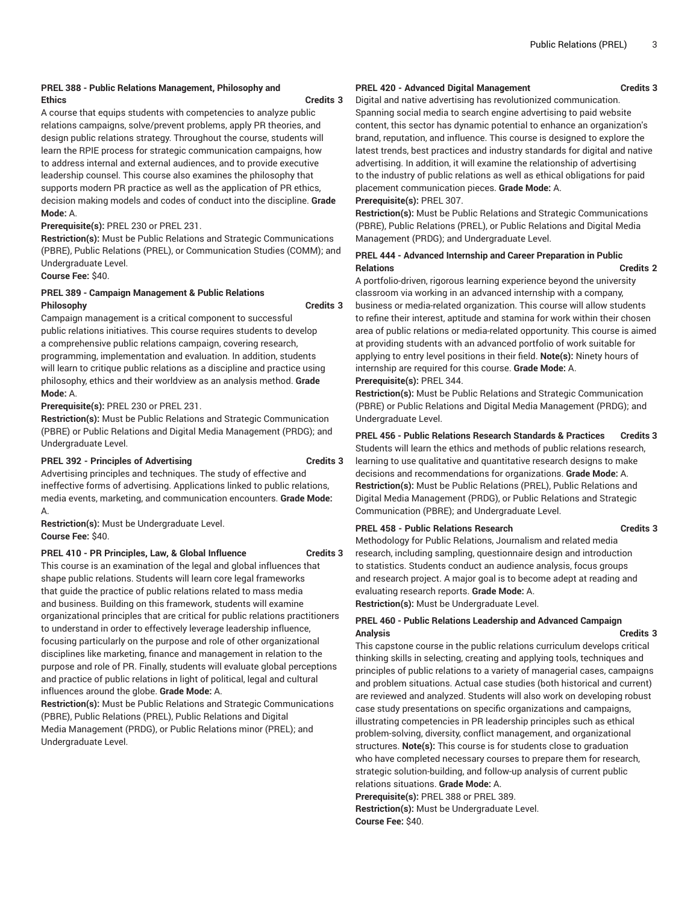# **PREL 388 - Public Relations Management, Philosophy and Ethics Credits 3**

A course that equips students with competencies to analyze public relations campaigns, solve/prevent problems, apply PR theories, and design public relations strategy. Throughout the course, students will learn the RPIE process for strategic communication campaigns, how to address internal and external audiences, and to provide executive leadership counsel. This course also examines the philosophy that supports modern PR practice as well as the application of PR ethics, decision making models and codes of conduct into the discipline. **Grade Mode:** A.

### **Prerequisite(s):** PREL 230 or PREL 231.

**Restriction(s):** Must be Public Relations and Strategic Communications (PBRE), Public Relations (PREL), or Communication Studies (COMM); and Undergraduate Level.

# **Course Fee:** \$40.

# **PREL 389 - Campaign Management & Public Relations Philosophy Credits 3**

Campaign management is a critical component to successful public relations initiatives. This course requires students to develop a comprehensive public relations campaign, covering research, programming, implementation and evaluation. In addition, students will learn to critique public relations as a discipline and practice using philosophy, ethics and their worldview as an analysis method. **Grade Mode:** A.

**Prerequisite(s):** PREL 230 or PREL 231.

**Restriction(s):** Must be Public Relations and Strategic Communication (PBRE) or Public Relations and Digital Media Management (PRDG); and Undergraduate Level.

#### **PREL 392 - Principles of Advertising Credits 3**

Advertising principles and techniques. The study of effective and ineffective forms of advertising. Applications linked to public relations, media events, marketing, and communication encounters. **Grade Mode:** A.

**Restriction(s):** Must be Undergraduate Level. **Course Fee:** \$40.

# **PREL 410 - PR Principles, Law, & Global Influence Credits 3**

This course is an examination of the legal and global influences that shape public relations. Students will learn core legal frameworks that guide the practice of public relations related to mass media and business. Building on this framework, students will examine organizational principles that are critical for public relations practitioners to understand in order to effectively leverage leadership influence, focusing particularly on the purpose and role of other organizational disciplines like marketing, finance and management in relation to the purpose and role of PR. Finally, students will evaluate global perceptions and practice of public relations in light of political, legal and cultural influences around the globe. **Grade Mode:** A.

**Restriction(s):** Must be Public Relations and Strategic Communications (PBRE), Public Relations (PREL), Public Relations and Digital Media Management (PRDG), or Public Relations minor (PREL); and Undergraduate Level.

# **PREL 420 - Advanced Digital Management Credits 3**

Digital and native advertising has revolutionized communication. Spanning social media to search engine advertising to paid website content, this sector has dynamic potential to enhance an organization's brand, reputation, and influence. This course is designed to explore the latest trends, best practices and industry standards for digital and native advertising. In addition, it will examine the relationship of advertising to the industry of public relations as well as ethical obligations for paid placement communication pieces. **Grade Mode:** A.

# **Prerequisite(s):** PREL 307.

**Restriction(s):** Must be Public Relations and Strategic Communications (PBRE), Public Relations (PREL), or Public Relations and Digital Media Management (PRDG); and Undergraduate Level.

# **PREL 444 - Advanced Internship and Career Preparation in Public Relations Credits 2**

A portfolio-driven, rigorous learning experience beyond the university classroom via working in an advanced internship with a company, business or media-related organization. This course will allow students to refine their interest, aptitude and stamina for work within their chosen area of public relations or media-related opportunity. This course is aimed at providing students with an advanced portfolio of work suitable for applying to entry level positions in their field. **Note(s):** Ninety hours of internship are required for this course. **Grade Mode:** A.

**Prerequisite(s):** PREL 344.

**Restriction(s):** Must be Public Relations and Strategic Communication (PBRE) or Public Relations and Digital Media Management (PRDG); and Undergraduate Level.

# **PREL 456 - Public Relations Research Standards & Practices Credits 3**

Students will learn the ethics and methods of public relations research, learning to use qualitative and quantitative research designs to make decisions and recommendations for organizations. **Grade Mode:** A. **Restriction(s):** Must be Public Relations (PREL), Public Relations and Digital Media Management (PRDG), or Public Relations and Strategic Communication (PBRE); and Undergraduate Level.

#### PREL 458 - Public Relations Research **Credits 3**

Methodology for Public Relations, Journalism and related media research, including sampling, questionnaire design and introduction to statistics. Students conduct an audience analysis, focus groups and research project. A major goal is to become adept at reading and evaluating research reports. **Grade Mode:** A.

**Restriction(s):** Must be Undergraduate Level.

# **PREL 460 - Public Relations Leadership and Advanced Campaign Analysis Credits 3**

This capstone course in the public relations curriculum develops critical thinking skills in selecting, creating and applying tools, techniques and principles of public relations to a variety of managerial cases, campaigns and problem situations. Actual case studies (both historical and current) are reviewed and analyzed. Students will also work on developing robust case study presentations on specific organizations and campaigns, illustrating competencies in PR leadership principles such as ethical problem-solving, diversity, conflict management, and organizational structures. **Note(s):** This course is for students close to graduation who have completed necessary courses to prepare them for research, strategic solution-building, and follow-up analysis of current public relations situations. **Grade Mode:** A.

**Prerequisite(s):** PREL 388 or PREL 389.

**Restriction(s):** Must be Undergraduate Level. **Course Fee:** \$40.